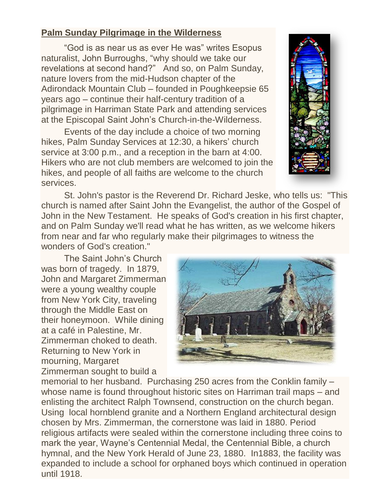## **Palm Sunday Pilgrimage in the Wilderness**

"God is as near us as ever He was" writes Esopus naturalist, John Burroughs, "why should we take our revelations at second hand?" And so, on Palm Sunday, nature lovers from the mid-Hudson chapter of the Adirondack Mountain Club – founded in Poughkeepsie 65 years ago – continue their half-century tradition of a pilgrimage in Harriman State Park and attending services at the Episcopal Saint John's Church-in-the-Wilderness.

Events of the day include a choice of two morning hikes, Palm Sunday Services at 12:30, a hikers' church service at 3:00 p.m., and a reception in the barn at 4:00. Hikers who are not club members are welcomed to join the hikes, and people of all faiths are welcome to the church services.

St. John's pastor is the Reverend Dr. Richard Jeske, who tells us: "This church is named after Saint John the Evangelist, the author of the Gospel of John in the New Testament. He speaks of God's creation in his first chapter, and on Palm Sunday we'll read what he has written, as we welcome hikers from near and far who regularly make their pilgrimages to witness the wonders of God's creation."

The Saint John's Church was born of tragedy. In 1879, John and Margaret Zimmerman were a young wealthy couple from New York City, traveling through the Middle East on their honeymoon. While dining at a café in Palestine, Mr. Zimmerman choked to death. Returning to New York in mourning, Margaret Zimmerman sought to build a



memorial to her husband. Purchasing 250 acres from the Conklin family – whose name is found throughout historic sites on Harriman trail maps – and enlisting the architect Ralph Townsend, construction on the church began. Using local hornblend granite and a Northern England architectural design chosen by Mrs. Zimmerman, the cornerstone was laid in 1880. Period religious artifacts were sealed within the cornerstone including three coins to mark the year, Wayne's Centennial Medal, the Centennial Bible, a church hymnal, and the New York Herald of June 23, 1880. In1883, the facility was expanded to include a school for orphaned boys which continued in operation until 1918.